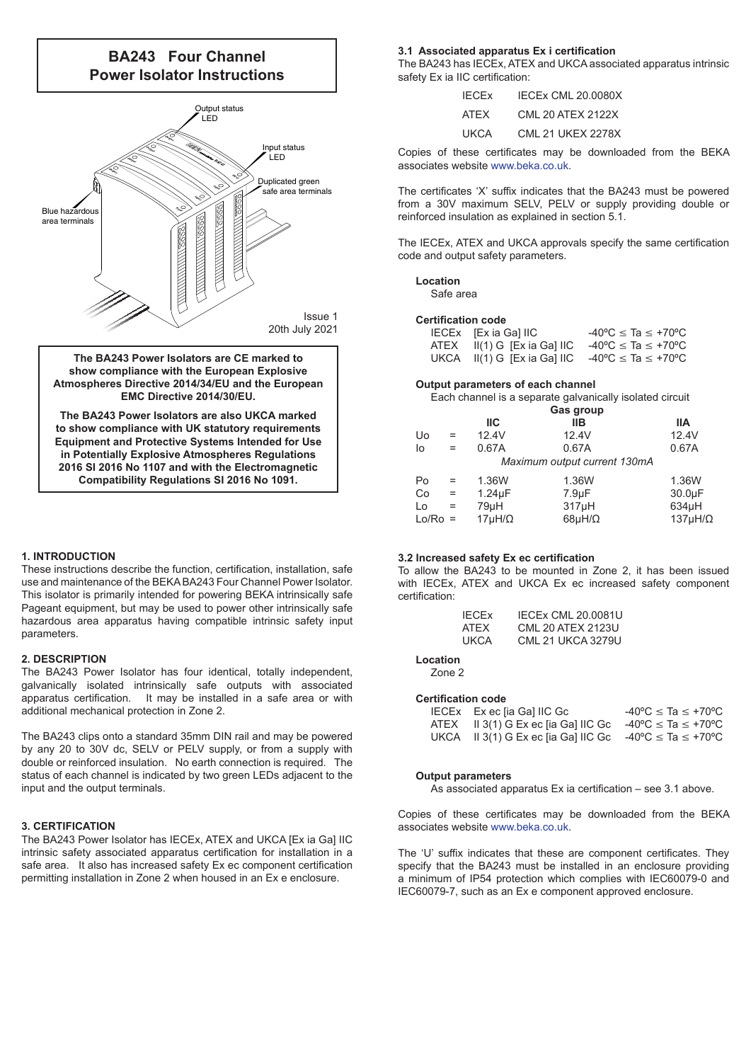# **BA243 Four Channel Power Isolator Instructions**



**The BA243 Power Isolators are CE marked to show compliance with the European Explosive Atmospheres Directive 2014/34/EU and the European EMC Directive 2014/30/EU.**

**The BA243 Power Isolators are also UKCA marked to show compliance with UK statutory requirements Equipment and Protective Systems Intended for Use in Potentially Explosive Atmospheres Regulations 2016 SI 2016 No 1107 and with the Electromagnetic Compatibility Regulations SI 2016 No 1091.**

#### **1. INTRODUCTION**

These instructions describe the function, certification, installation, safe use and maintenance of the BEKA BA243 Four Channel Power Isolator. This isolator is primarily intended for powering BEKA intrinsically safe Pageant equipment, but may be used to power other intrinsically safe hazardous area apparatus having compatible intrinsic safety input parameters.

#### **2. DESCRIPTION**

The BA243 Power Isolator has four identical, totally independent, galvanically isolated intrinsically safe outputs with associated apparatus certification. It may be installed in a safe area or with additional mechanical protection in Zone 2.

The BA243 clips onto a standard 35mm DIN rail and may be powered by any 20 to 30V dc, SELV or PELV supply, or from a supply with double or reinforced insulation. No earth connection is required. The status of each channel is indicated by two green LEDs adjacent to the input and the output terminals.

# **3. CERTIFICATION**

The BA243 Power Isolator has IECEx, ATEX and UKCA [Ex ia Ga] IIC intrinsic safety associated apparatus certification for installation in a safe area. It also has increased safety Ex ec component certification permitting installation in Zone 2 when housed in an Ex e enclosure.

#### **3.1 Associated apparatus Ex i certification**

The BA243 has IECEx, ATEX and UKCA associated apparatus intrinsic safety Ex ia IIC certification:

| <b>IFCFx</b> | <b>IECEX CML 20.0080X</b> |
|--------------|---------------------------|
| ATFX         | <b>CML 20 ATEX 2122X</b>  |
| UKCA         | <b>CML 21 UKEX 2278X</b>  |

Copies of these certificates may be downloaded from the BEKA associates website [www.beka.co.uk](https://www.beka.co.uk).

The certificates 'X' suffix indicates that the BA243 must be powered from a 30V maximum SELV, PELV or supply providing double or reinforced insulation as explained in section 5.1.

The IECEx, ATEX and UKCA approvals specify the same certification code and output safety parameters.

# **Location**

Safe area

# **Certification code**

| IECEx [Ex ia Ga] IIC             | $-40^{\circ}$ C $\leq$ Ta $\leq$ +70 $^{\circ}$ C |
|----------------------------------|---------------------------------------------------|
| $ATEX$ $I(1)$ G $[Ex$ ia Ga] IIC | $-40^{\circ}$ C $\leq$ Ta $\leq$ +70 $^{\circ}$ C |
| UKCA $II(1)$ G $[Ex$ ia Ga] IIC  | -40 °C ≤ Ta ≤ +70 °C                              |

## **Output parameters of each channel**

Each channel is a separate galvanically isolated circuit

|       |     | Gas group        |                              |                   |
|-------|-----|------------------|------------------------------|-------------------|
|       |     | IIС              | <b>IIB</b>                   | liА               |
| Uo    | $=$ | 12.4V            | 12.4V                        | 12.4V             |
| lo    | $=$ | 0.67A            | 0.67A                        | 0.67A             |
|       |     |                  | Maximum output current 130mA |                   |
| Po    | $=$ | 1.36W            | 1.36W                        | 1.36W             |
| Co    | $=$ | $1.24\mu F$      | $7.9 \mu F$                  | 30.0µF            |
| Lo    | $=$ | 79µH             | $317\mu H$                   | $634\mu H$        |
| Lo/Ro |     | $17\mu H/\Omega$ | $68\mu H/\Omega$             | $137\mu H/\Omega$ |
|       |     |                  |                              |                   |

#### **3.2 Increased safety Ex ec certification**

To allow the BA243 to be mounted in Zone 2, it has been issued with IECEx, ATEX and UKCA Ex ec increased safety component certification:

| <b>IECEX CML 20.0081U</b> |
|---------------------------|
| <b>CML 20 ATEX 2123U</b>  |
| CML 21 UKCA 3279U         |
|                           |

# **Location**

Zone 2

# **Certification code**

| IECEx Exec [ia Ga] IIC Gc                                                             | $-40^{\circ}$ C $\leq$ Ta $\leq$ +70 $^{\circ}$ C |
|---------------------------------------------------------------------------------------|---------------------------------------------------|
| ATEX II 3(1) G Ex ec [ia Ga] IIC Gc $-40^{\circ}$ C $\leq$ Ta $\leq$ +70 $^{\circ}$ C |                                                   |
| UKCA II 3(1) G Ex ec [ia Ga] IIC Gc $-40^{\circ}$ C $\leq$ Ta $\leq$ +70°C            |                                                   |

#### **Output parameters**

As associated apparatus Ex ia certification – see 3.1 above.

Copies of these certificates may be downloaded from the BEKA associates website [www.beka.co.uk](https://www.beka.co.uk).

The 'U' suffix indicates that these are component certificates. They specify that the BA243 must be installed in an enclosure providing a minimum of IP54 protection which complies with IEC60079-0 and IEC60079-7, such as an Ex e component approved enclosure.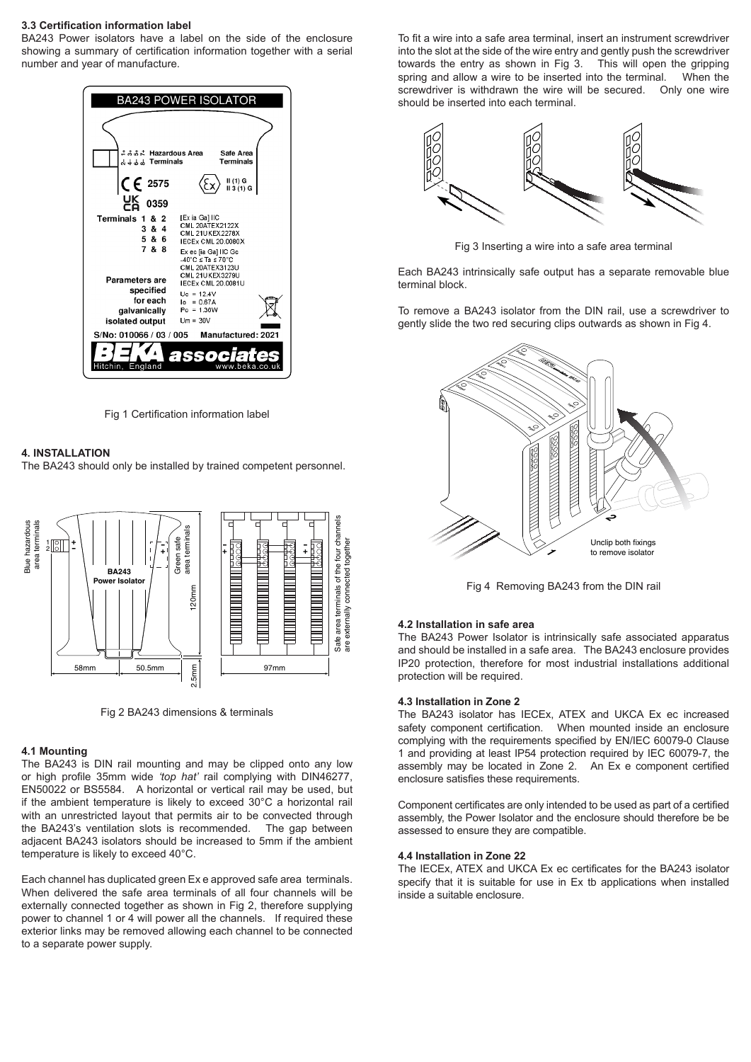## **3.3 Certification information label**

BA243 Power isolators have a label on the side of the enclosure showing a summary of certification information together with a serial number and year of manufacture.



Fig 1 Certification information label

# **4. INSTALLATION**

The BA243 should only be installed by trained competent personnel.



Fig 2 BA243 dimensions & terminals

## **4.1 Mounting**

The BA243 is DIN rail mounting and may be clipped onto any low or high profile 35mm wide *'top hat'* rail complying with DIN46277, EN50022 or BS5584. A horizontal or vertical rail may be used, but if the ambient temperature is likely to exceed 30°C a horizontal rail with an unrestricted layout that permits air to be convected through the BA243's ventilation slots is recommended. The gap between adjacent BA243 isolators should be increased to 5mm if the ambient temperature is likely to exceed 40°C.

Each channel has duplicated green Ex e approved safe area terminals. When delivered the safe area terminals of all four channels will be externally connected together as shown in Fig 2, therefore supplying power to channel 1 or 4 will power all the channels. If required these exterior links may be removed allowing each channel to be connected to a separate power supply.

To fit a wire into a safe area terminal, insert an instrument screwdriver into the slot at the side of the wire entry and gently push the screwdriver towards the entry as shown in Fig 3. This will open the gripping spring and allow a wire to be inserted into the terminal. When the screwdriver is withdrawn the wire will be secured. Only one wire should be inserted into each terminal.



Fig 3 Inserting a wire into a safe area terminal

Each BA243 intrinsically safe output has a separate removable blue terminal block.

To remove a BA243 isolator from the DIN rail, use a screwdriver to gently slide the two red securing clips outwards as shown in Fig 4.



Fig 4 Removing BA243 from the DIN rail

#### **4.2 Installation in safe area**

The BA243 Power Isolator is intrinsically safe associated apparatus and should be installed in a safe area. The BA243 enclosure provides IP20 protection, therefore for most industrial installations additional protection will be required.

#### **4.3 Installation in Zone 2**

The BA243 isolator has IECEx, ATEX and UKCA Ex ec increased When mounted inside an enclosure complying with the requirements specified by EN/IEC 60079-0 Clause 1 and providing at least IP54 protection required by IEC 60079-7, the assembly may be located in Zone 2. An Ex e component certified enclosure satisfies these requirements.

Component certificates are only intended to be used as part of a certified assembly, the Power Isolator and the enclosure should therefore be be assessed to ensure they are compatible.

#### **4.4 Installation in Zone 22**

The IECEx, ATEX and UKCA Ex ec certificates for the BA243 isolator specify that it is suitable for use in Ex tb applications when installed inside a suitable enclosure.